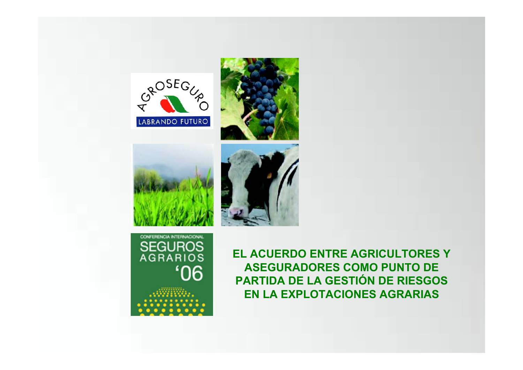









EL ACUERDO ENTRE AGRICULTORES Y **ASEGURADORES COMO PUNTO DE** PARTIDA DE LA GESTIÓN DE RIESGOS **EN LA EXPLOTACIONES AGRARIAS**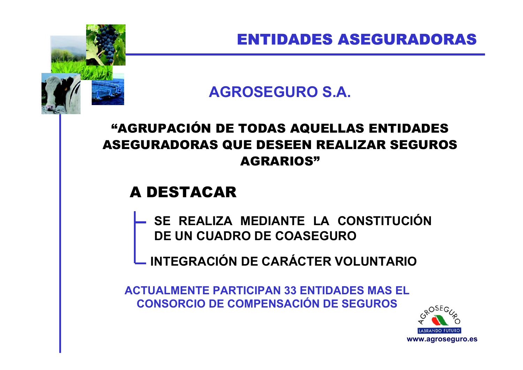#### **AGROSEGURO S.A.**

#### "AGRUPACIÓN DE TODAS AQUELLAS ENTIDADES ASEGURADORAS QUE DESEEN REALIZAR SEGUROS AGRARIOS"

#### A DESTACAR

- **SE REALIZA MEDIANTE LA CONSTITUCIÓN DE UN CUADRO DE COASEGURO**
- **INTEGRACIÓN DE CARÁCTER VOLUNTARIO**

**ACTUALMENTE PARTICIPAN 33 ENTIDADES MAS EL CONSORCIO DE COMPENSACIÓN DE SEGUROS**

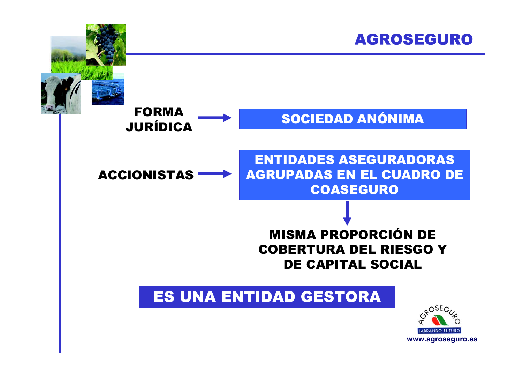





ENTIDADES ASEGURADORAS AGRUPADAS EN EL CUADRO DE COASEGURO

#### MISMA PROPORCIÓN DE COBERTURA DEL RIESGO Y DE CAPITAL SOCIAL

#### ES UNA ENTIDAD GESTORA

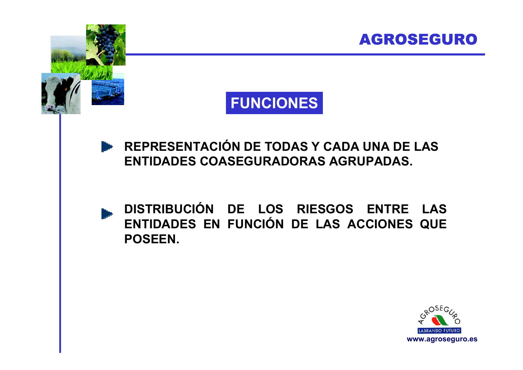



**REPRESENTACIÓN DE TODAS Y CADA UNA DE LAS ENTIDADES COASEGURADORAS AGRUPADAS.**

**DISTRIBUCIÓN DE LOS RIESGOS ENTRE LAS ENTIDADES EN FUNCIÓN DE LAS ACCIONES QUE POSEEN.**

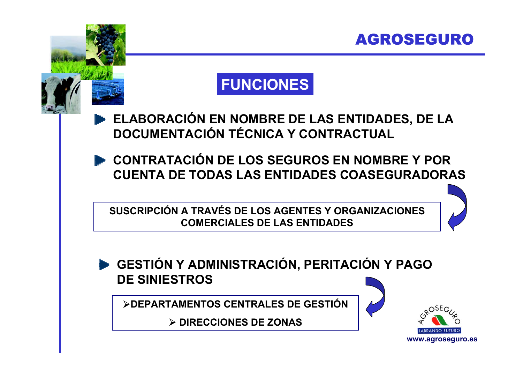

#### **FUNCIONES**

**ELABORACIÓN EN NOMBRE DE LAS ENTIDADES, DE LA DOCUMENTACIÓN TÉCNICA Y CONTRACTUAL**

**CONTRATACIÓN DE LOS SEGUROS EN NOMBRE Y POR CUENTA DE TODAS LAS ENTIDADES COASEGURADORAS**

**SUSCRIPCIÓN A TRAVÉS DE LOS AGENTES Y ORGANIZACIONES COMERCIALES DE LAS ENTIDADES**



¾**DEPARTAMENTOS CENTRALES DE GESTIÓN**

¾ **DIRECCIONES DE ZONAS**



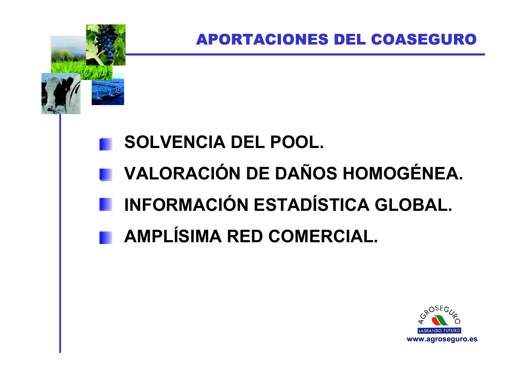# **SOLVENCIA DEL POOL. VALORACIÓN DE DAÑOS HOMOGÉNEA. INFORMACIÓN ESTADÍSTICA GLOBAL. AMPLÍSIMA RED COMERCIAL.**

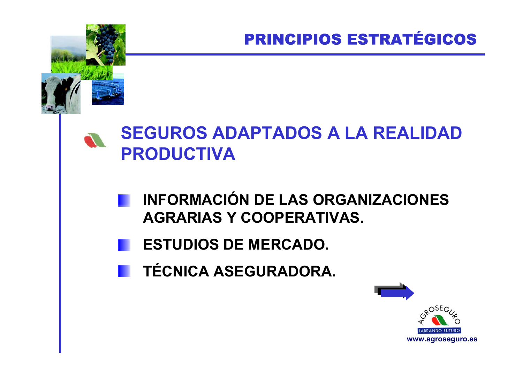## **SEGUROS ADAPTADOS A LA REALIDAD PRODUCTIVA**

- **INFORMACIÓN DE LAS ORGANIZACIONES AGRARIAS Y COOPERATIVAS.**
- **ESTUDIOS DE MERCADO.**
- **TÉCNICA ASEGURADORA.**

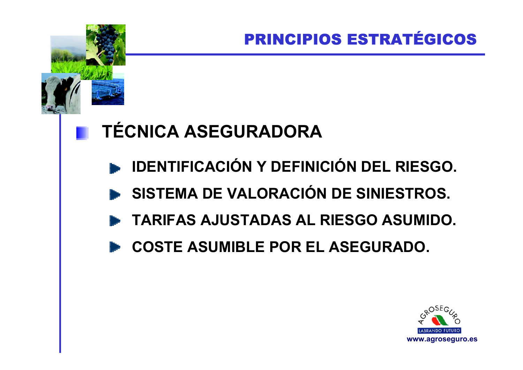# **TÉCNICA ASEGURADORA**

- **E IDENTIFICACIÓN Y DEFINICIÓN DEL RIESGO.**
- SISTEMA DE VALORACIÓN DE SINIESTROS.
- TARIFAS AJUSTADAS AL RIESGO ASUMIDO.
- **COSTE ASUMIBLE POR EL ASEGURADO.**

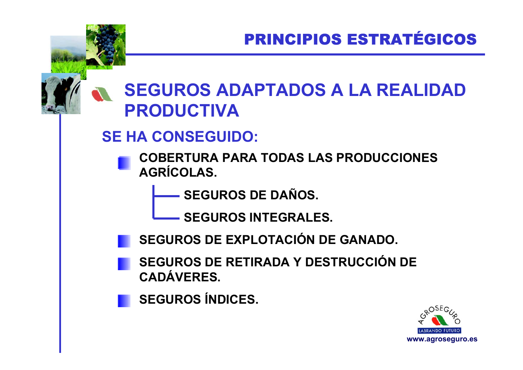# **SEGUROS ADAPTADOS A LA REALIDAD PRODUCTIVA**

#### **SE HA CONSEGUIDO:**

- **COBERTURA PARA TODAS LAS PRODUCCIONES AGRÍCOLAS.**
	- **SEGUROS DE DAÑOS.**
	- **SEGUROS INTEGRALES.**
	- **SEGUROS DE EXPLOTACIÓN DE GANADO.**
	- **SEGUROS DE RETIRADA Y DESTRUCCIÓN DE CADÁVERES.**
		- **SEGUROS ÍNDICES.**

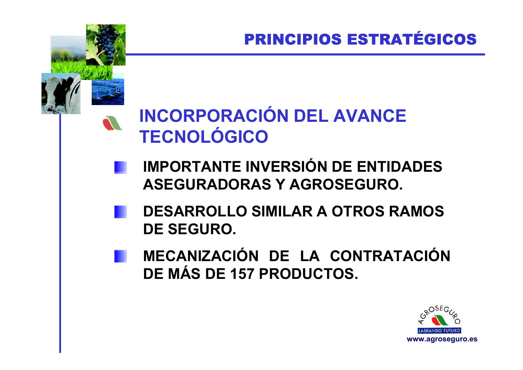# **INCORPORACIÓN DEL AVANCE TECNOLÓGICO**

- **IMPORTANTE INVERSIÓN DE ENTIDADES ASEGURADORAS Y AGROSEGURO.**
- **DESARROLLO SIMILAR A OTROS RAMOS DE SEGURO.**
- **MECANIZACIÓN DE LA CONTRATACIÓN DE MÁS DE 157 PRODUCTOS.**

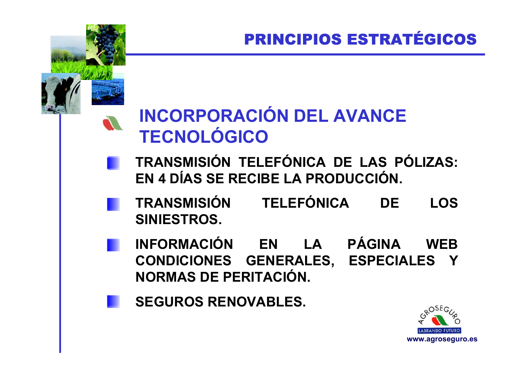# **INCORPORACIÓN DEL AVANCE TECNOLÓGICO**

- **TRANSMISIÓN TELEFÓNICA DE LAS PÓLIZAS: EN 4 DÍAS SE RECIBE LA PRODUCCIÓN.**
- **TRANSMISIÓN TELEFÓNICA DE LOS SINIESTROS.**
	- **INFORMACIÓN EN LA PÁGINA WEB CONDICIONES GENERALES, ESPECIALES Y NORMAS DE PERITACIÓN.**
- **SEGUROS RENOVABLES.**

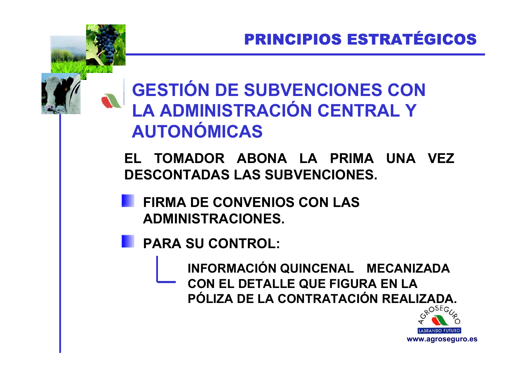# **GESTIÓN DE SUBVENCIONES CON LA ADMINISTRACIÓN CENTRAL Y AUTONÓMICAS**

**EL TOMADOR ABONA LA PRIMA UNA VEZ DESCONTADAS LAS SUBVENCIONES.**

**FIRMA DE CONVENIOS CON LAS ADMINISTRACIONES.**

**PARA SU CONTROL:**

**INFORMACIÓN QUINCENAL MECANIZADA CON EL DETALLE QUE FIGURA EN LA PÓLIZA DE LA CONTRATACIÓN REALIZADA.**

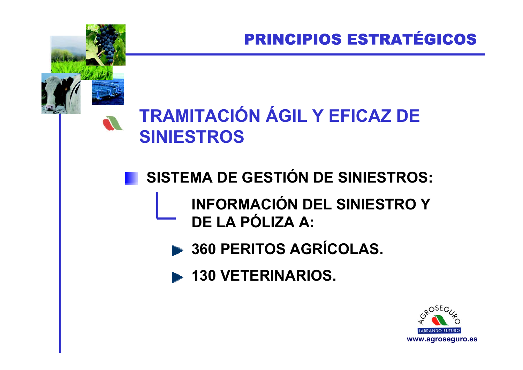# **TRAMITACIÓN ÁGIL Y EFICAZ DE SINIESTROS**

# SISTEMA DE GESTIÓN DE SINIESTROS:

#### **INFORMACIÓN DEL SINIESTRO Y** DE LA PÓLIZA A:

- 360 PERITOS AGRÍCOLAS.
- **130 VETERINARIOS.**

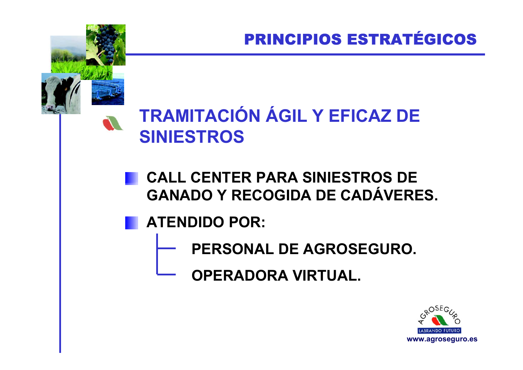# **TRAMITACIÓN ÁGIL Y EFICAZ DE SINIESTROS**

- **CALL CENTER PARA SINIESTROS DE GANADO Y RECOGIDA DE CADÁVERES.**
- **ATENDIDO POR:**
	- **PERSONAL DE AGROSEGURO.**
		- **OPERADORA VIRTUAL.**

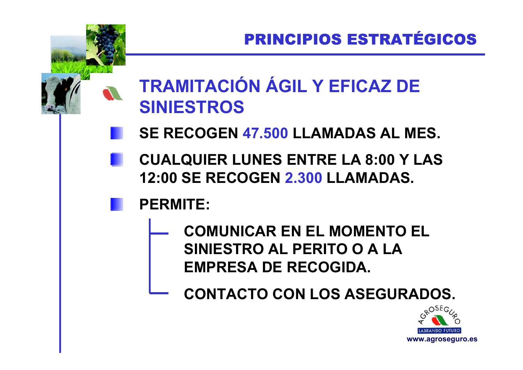# **TRAMITACIÓN ÁGIL Y EFICAZ DE SINIESTROS**

- **SE RECOGEN 47.500 LLAMADAS AL MES.**
	- **CUALQUIER LUNES ENTRE LA 8:00 Y LAS 12:00 SE RECOGEN 2.300 LLAMADAS.**

### **PERMITE:**

**COMUNICAR EN EL MOMENTO EL SINIESTRO AL PERITO O A LA EMPRESA DE RECOGIDA.**

**CONTACTO CON LOS ASEGURADOS.**

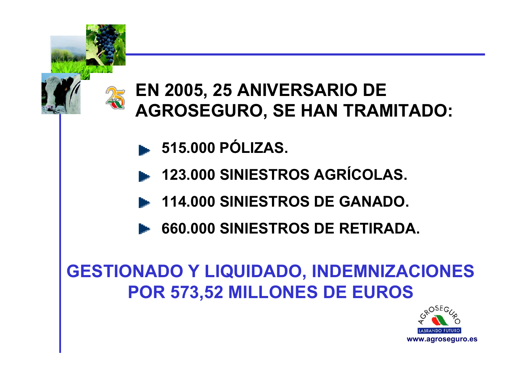

# **EN 2005, 25 ANIVERSARIO DE AGROSEGURO, SE HAN TRAMITADO:**

- **515.000 PÓLIZAS.**
- **123.000 SINIESTROS AGRÍCOLAS.**
- **114.000 SINIESTROS DE GANADO.**
- **660.000 SINIESTROS DE RETIRADA.**

# **GESTIONADO Y LIQUIDADO, INDEMNIZACIONES POR 573,52 MILLONES DE EUROS**

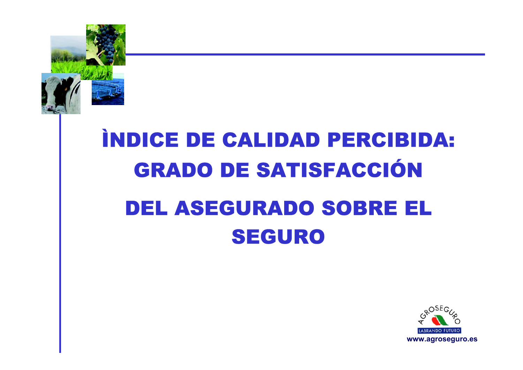

# INDICE DE CALIDAD PERCIBIDA: **GRADO DE SATISFACCIÓN DEL ASEGURADO SOBRE EL SEGURO**

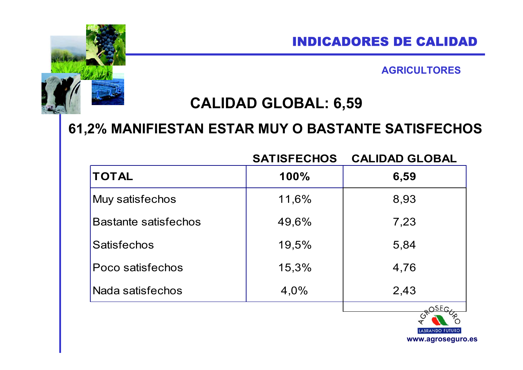#### INDICADORES DE CALIDAD

**AGRICULTORES**

#### **CALIDAD GLOBAL: 6,59**

#### **61,2% MANIFIESTAN ESTAR MUY O BASTANTE SATISFECHOS**

|                             | <b>SATISFECHOS</b> | <b>CALIDAD GLOBAL</b>  |
|-----------------------------|--------------------|------------------------|
| <b>TOTAL</b>                | 100%               | 6,59                   |
| Muy satisfechos             | 11,6%              | 8,93                   |
| <b>Bastante satisfechos</b> | 49,6%              | 7,23                   |
| <b>Satisfechos</b>          | 19,5%              | 5,84                   |
| Poco satisfechos            | 15,3%              | 4,76                   |
| Nada satisfechos            | 4,0%               | 2,43                   |
|                             |                    | <b>IARDANDO FUTURO</b> |

**www.agroseguro.es**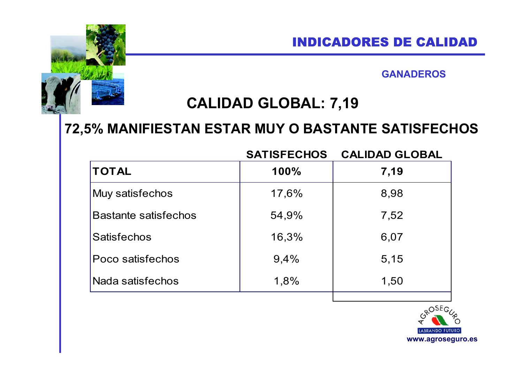#### **GANADEROS**

#### **CALIDAD GLOBAL: 7,19**

#### **72,5% MANIFIESTAN ESTAR MUY O BASTANTE SATISFECHOS**

**SATISFECHOS CALIDAD GLOBAL**

| 100%  | 7,19 |
|-------|------|
| 17,6% | 8,98 |
| 54,9% | 7,52 |
| 16,3% | 6,07 |
| 9,4%  | 5,15 |
| 1,8%  | 1,50 |
|       |      |

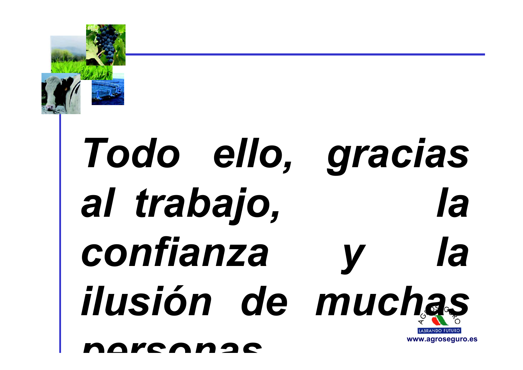

# *Todo ello, gracias al trabajo, la confianza y la ilusión de muchas*

*personas*

**www.agroseguro.es**